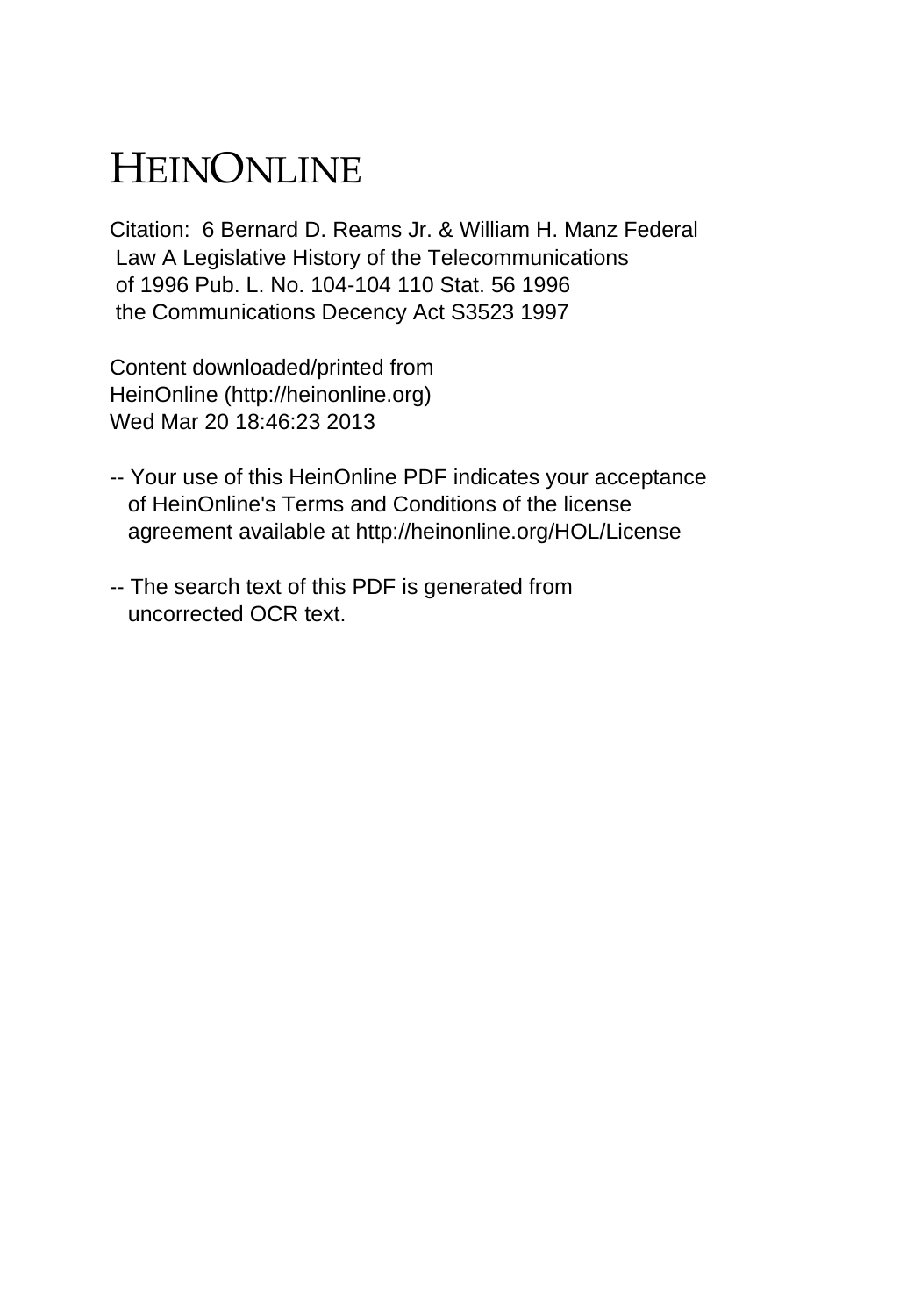# HEINONLINE

Citation: 6 Bernard D. Reams Jr. & William H. Manz Federal Law A Legislative History of the Telecommunications of 1996 Pub. L. No. 104-104 110 Stat. 56 1996 the Communications Decency Act S3523 1997

Content downloaded/printed from HeinOnline (http://heinonline.org) Wed Mar 20 18:46:23 2013

- -- Your use of this HeinOnline PDF indicates your acceptance of HeinOnline's Terms and Conditions of the license agreement available at http://heinonline.org/HOL/License
- -- The search text of this PDF is generated from uncorrected OCR text.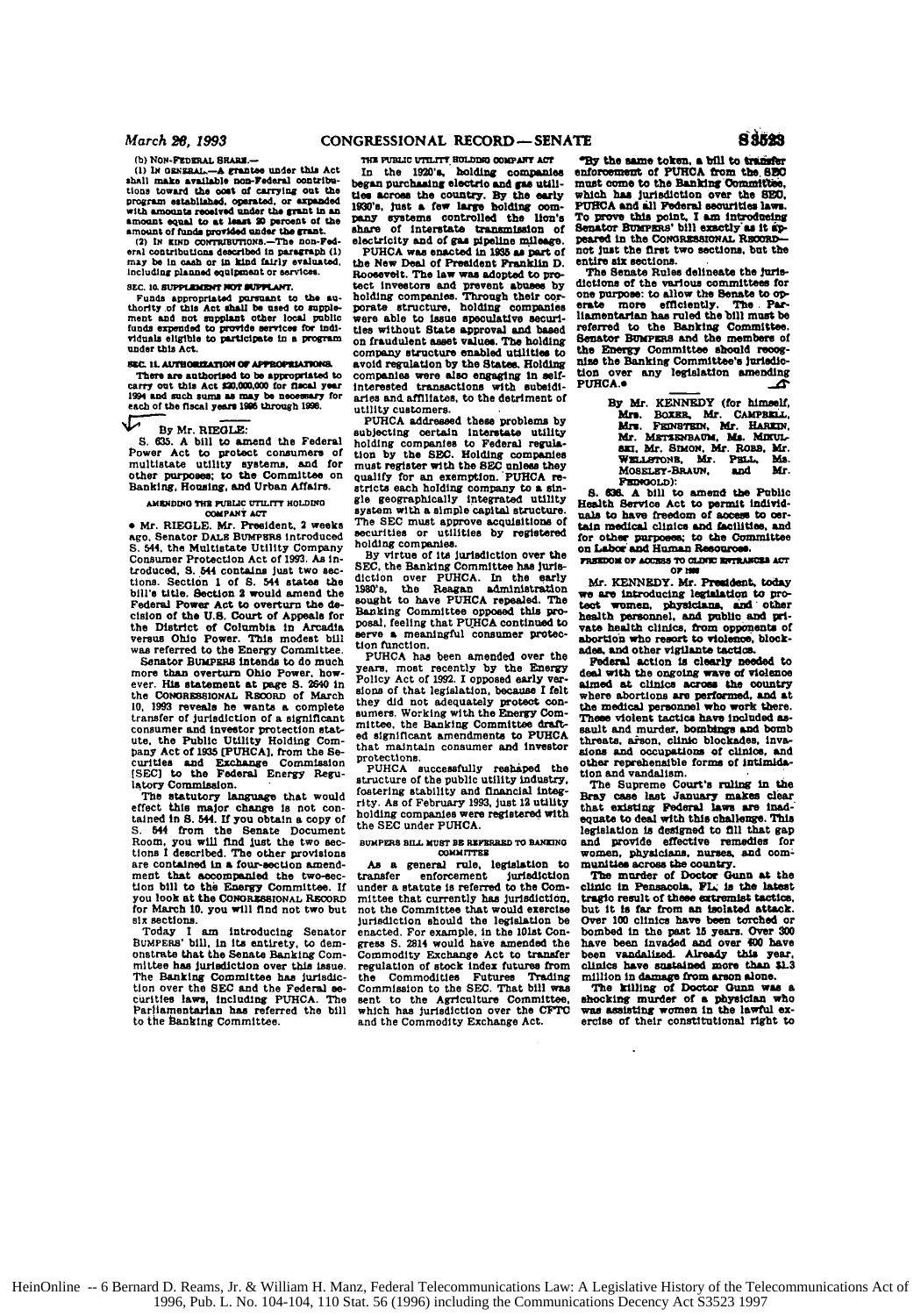## *March 28, 1993*

**(b)** NON-FnZRAL BHRAS.- **(I) IN** oxzRAL-A gract"e under thi Act shall make available non-Federal contribu- tions toward the cost **of carrying** out the program **establlahd.** operated, or expanded with amounts received under the grant In **an** amount **equal** to **at** least **i peroent of** the amount **of funds** prvid under the **grant. (2)** IN **KIND** cOmTlIUUT0ONe.-The **sOn-Fed-** erai contributons described in **pararaph** *(1)* may **be** In **sash or** In **kind** fairly evaluated. Including **planned** equipment or services.

Funds appropriated pursuant to the automatic property of this fact a<br>hall be used to supplement and not supplement and not supplement other local public<br>funds expended to provide services for indi-<br>riduals eligible to part

## **EXC: 11. AUTHORIZATION OF APPROPRIATIONS**

There are authorised to be appropriated to<br>carry out this Act \$20,000,000 for flacal year<br>1934 and such sums as may be necessary for<br>each of the fiscal years 1996 through 1998.

#### レ **By Mr. RIEGLE:**

**S. 635. A bill** to **amend** the Federal Power Act to protect consumers of multistate utility systems, and for other purposes; to the Committee on Banking, Housing, **and** Urban Affairs.

# AMINOO **THE PUBLIC UTILrTY HOLDING COMPANY ACT**

*a* **Mr.** RIEGLE. Mr. President. **2** weeks ago. Senator **DALE BUMPaES** Introduced **S.** 544. the Multistate Utility Company Consumer Protection Act of **1993.** As introduced, **S. 544** contalns just two sections. Section **1** of **S.** 544 states **the bill's** title. Section 2 would amend the Federal Power Act to overturn the **de-**cision **of** the **U.S.** Court of **Appeals** for the District **of** Columbia in Arcadia versus Ohio Power. This modest bill was referred to the Energy Committee.

Senator BUMPERS intends to do much more than overturn Ohio Power, however. His statement at page **S.** 2640 In the CONORssIONAL RzoORD of March **10, 1993** reveals he wants a complete transfer **of** jurisdiction of a significant consumer and Investor protection statute, the Public Utility Holding Com- pany Act of **1935 PURCA].** from the Securities and Exchange Commission **[SEC)** to the Federal Energy Regulatory Commission.

The statutory language that would<br>effect this major change is not con-<br>tained in S. 544. If you obtain a copy of<br>S. 544 from the Senate Document<br>Room, you will find just the two sec-<br>tions I described. The other provisions are contained in a four-section amend-<br>ment that accompanied the two-section bill to the Energy Committee. **If** you look **at** the **CONsORSIONAL** RECORD for March **10.** you will find not two but six sections.<br>Today I am introducing Senator

Today **I** am introducing Senator BUMPERS' **bill,** in its entirety, to demonstrate that the Senate Banking Committee has jurisdiction over this issue. The **Banking** Committee has jurisdiction over the SEC and the Federal securities laws Including PUHCA. The Parliamentartan has referred the **bill** to the Banking Committee.

# **4GONGRESSIONAL RECORD-SENATE**

Ti **PUBC** *urILrrT* HOLnro 00PAiN *LAT* In the **1920's. holding** companies began purchasing electric and gas utilitie across the country. **By the** early **10's.** Just **a** few large holding oompany systems controlled the lion's share of interstate transmission of

electricity and of **gas** pipeline mileage. **PUHCA** was enacted in **19 5a** <sup>a</sup>**of** the **New Deal of Preaident Franklin D.** Roosevelt. The law was adopted to protect investors and prevent abuses by<br>holding companies. Through their cor-<br>porate structure, holding companies<br>were able to issue speculative securities without State approval **and based** on fraudulent asset values. The holding company etructure enabled utilities to avoid regulation **by** the States Holding companies were **also** engaging in **self-**Interested transactions with subsidiaries and affiliates, to the detriment of utility customers.

**PURCA** addressed **these** problems **by** subjecting certain Interstate utility holding companies to Federal regula-tion **by** the **SEC.** Holding companies must register with the **SEC** unless **they** qualify for an exemption. **"PURCA re-**stricts each holding company to **a** sin-gle geographically integrated utility system with a simple capital etructure. The **SEC** must approve acquisitions of securities or utilities **by** registered holding companies.

By virtue **of** its jurisdiction over the **SEC.** the Banking Committee has **juris**diction over **PUHCA.** In the early 1980's, the Reagan administration<br>sought to have PUHCA repealed. The<br>Banking Committee opposed this proposal, feeling that **PUHCA** continued to serve **a** meaningful consumer protection function.

**PUHCA** has been amended over the years. most recently **by** the Energy Policy Act **of 1992. I** opposed early ver**slons** of that legislation, because **I** felt they **did** not adequately protect con-sumers. Working with the Energy Com- mittee, the Banking Committee draft**ed** significant amendments to **PUHCA** that maintain consumer and Investor protections.

**UHCA** successfully reshaped structure **of** the public utility industry, fostering stability and financial integrity. **As** of February **1993,** just 12 utility holding companies were registered with the **SEC** under **PUHCA.**

### **BUMPERS BILL MUST BE REFERRED TO BANKING COMMITTEE**

As a general rule, legislation to<br>transfer enforcement jurisdiction **enforcement** under a statute is referred to the Committee that currently has jurisdiction, not the Committee that would exercise jurisdiction should the legislation be enacted. For example, in the 101st Congress **S.** 2814 would have amended the Commodity Exchange Act to transfer regulation of stock index futures from the Commodities Futures Trading Commission to the **SEC.** That **bill** was sent to the Agriculture Committee, which has jurisdiction over the **CFTC** and the Commodity Exchange Act.

**IEy the same token, a bill to transfer enforcement of PURCA from the 8EC** enforcement of PURCA from the SEC must come to the Banking Committee, which has jurisdiction over the SEC, PURCA and all Pederal securities laws.<br>To prove this purisdiction over the SEC,<br>PURCA and all Pederal securities la Senator Bungkas' bill exactly as it ap**not** just the first two sections, but the

entire six sections.<br>The Senate Rules delineate the jurisdictions of the various committees for one purpose: to allow the Senate to **op-** erate more emiently. The Par-Ilamentarian has ruled the **bill** must **be** referred to the Banking Committee.<br>Senator BUMPERS and the members of Senator **BusPmas** and the members of the Energy Committee **should** recog-is the Banking Committee's Juriediction over any legislation amending **PUHCA.o \_&**

**By** Mr. KENNEDY (for himself, Mrs. BOXER, Mr. CAMPBELL, Mrs. FENSTEIN, Mr. HAREIN, Mr. FENSTEIN. Mr. MIRUL-Mr. MirrflIRAUM. **M** MtuL- asa. Mr. *8ndoN.* Mr. **ROBs. Mr. WmaaroNa.** Mr. PULL, **Ms.** WELLETONE, Mr. PELL, MS.<br>MOSELET-BRAUN, and Mr.<br>FERMOLD.: **BRAUN.**<br>8. 636. A bill to amend the Public

**S. 036 A bill** to amend the Public Health Service Act to permit individ- uals to have freedom **of** acoes to **cer**tain medical clinics and facilities, for other purposes to the Committee on Labor and Human Resources.

**Fe8DOMS OF** AM=TO **OLIXIE** ZmTRAA **AMr or i1**

Mr. KENNEDY. Mr. President, today<br>we are introducing legislation to prowe are Introducing legislation to pro- **tect** women, **physicians, snd\*** other health personnel, and Public and **wt**vats health clinics, from **opponents of** abortion who resort to violence, **block**ades, and other vigilante tactics.

Federal action **is** clearly **needed** to **deal** with the ongoing wave **of** violence aimed **at** clinics across **the** country where abortions are performed, **and at** the medical personnel who work there. These violent tactics have included assault **and** murder, bombings **and** bomb threats. akson, clinic blockades. inva-sions and occupations **of** clinics, and other reprehensible forms **of** intimida- tion and vandalism.

The Supreme Court's ruling In the Bray **case** last January makes clear that existing Federal laws **ae** Inad-equate to deal with this challenge. This legislation is designed to **fill** that **gap** and provide effective remedies for women, phyaicians, nurses **and com-**

munities across the country.<br>The murder of Doctor Gunn at the clinic in Pensacola, **FL**; is the latest<br>tragic result of these extremist tactics. but it is far from an isolated attack. Over **100** clinics have been torched or bombed in the pest **15 years.** Over **300** have been invaded **and** over **400** have been vandalized. Already **this** year, **onlnie** have sustained more than **LS** million in damage from arson **alone.**

**The** killing of Doctor Ounn **was a** shocking murder **of a** physician who **was** assisting **women** in the **lawful ex**ercise **of** their constitutional right to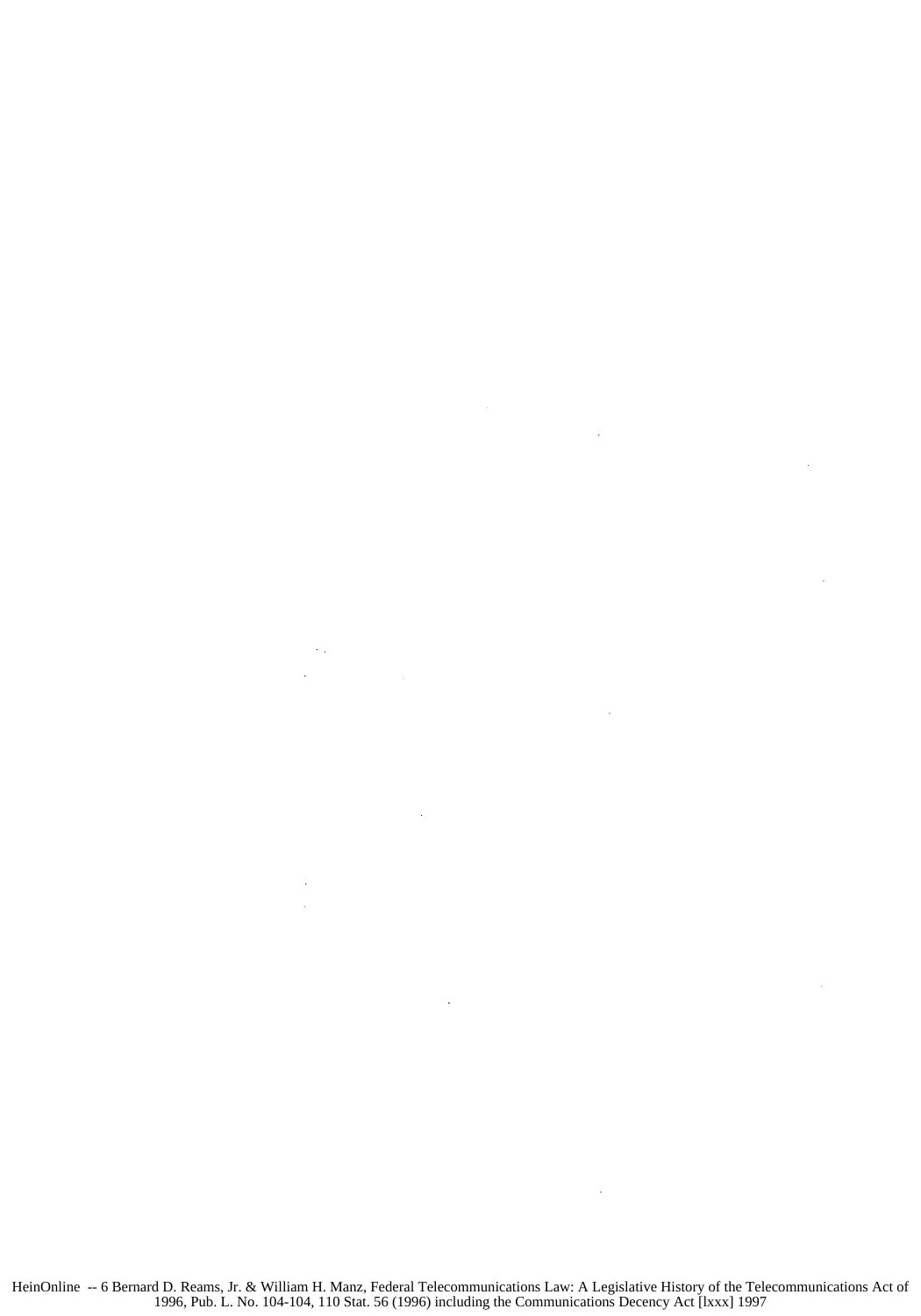HeinOnline -- 6 Bernard D. Reams, Jr. & William H. Manz, Federal Telecommunications Law: A Legislative History of the Telecommunications Act of 1996, Pub. L. No. 104-104, 110 Stat. 56 (1996) including the Communications Decency Act [lxxx] 1997

 $\bar{z}$ 

 $\sim$  .

 $\sim 100$  $\mathcal{L}^{\text{max}}$ 

 $\bar{z}$ 

 $\bar{z}$ 

 $\bar{z}$ 

 $\bar{z}$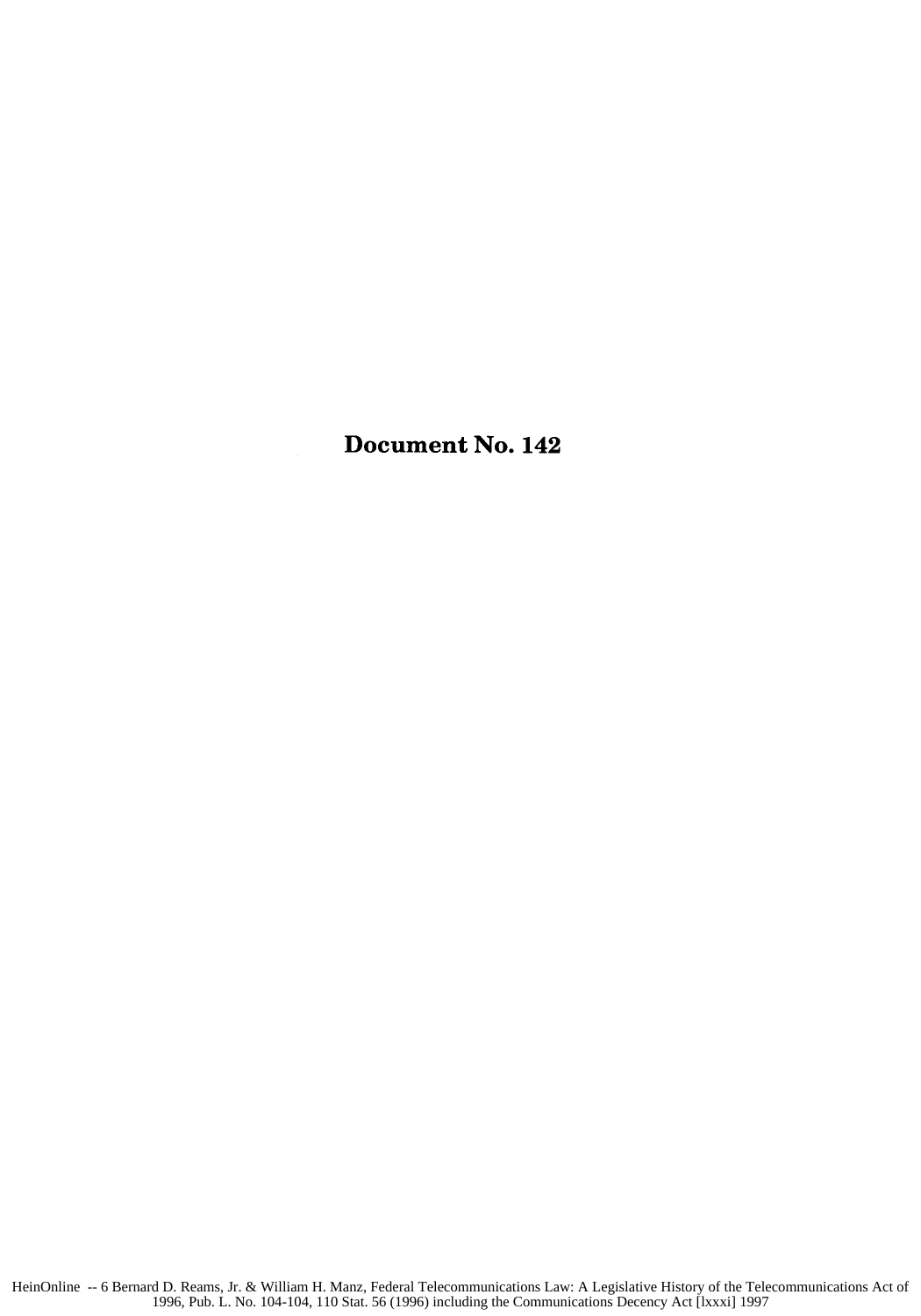Document No. 142